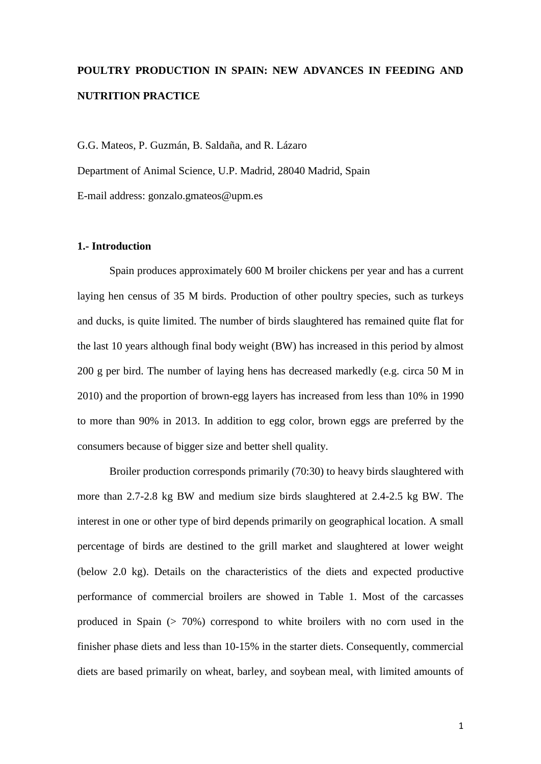# **POULTRY PRODUCTION IN SPAIN: NEW ADVANCES IN FEEDING AND NUTRITION PRACTICE**

G.G. Mateos, P. Guzmán, B. Saldaña, and R. Lázaro

Department of Animal Science, U.P. Madrid, 28040 Madrid, Spain

E-mail address: [gonzalo.gmateos@upm.es](mailto:gonzalo.gmateos@upm.es)

## **1.- Introduction**

Spain produces approximately 600 M broiler chickens per year and has a current laying hen census of 35 M birds. Production of other poultry species, such as turkeys and ducks, is quite limited. The number of birds slaughtered has remained quite flat for the last 10 years although final body weight (BW) has increased in this period by almost 200 g per bird. The number of laying hens has decreased markedly (e.g. circa 50 M in 2010) and the proportion of brown-egg layers has increased from less than 10% in 1990 to more than 90% in 2013. In addition to egg color, brown eggs are preferred by the consumers because of bigger size and better shell quality.

Broiler production corresponds primarily (70:30) to heavy birds slaughtered with more than 2.7-2.8 kg BW and medium size birds slaughtered at 2.4-2.5 kg BW. The interest in one or other type of bird depends primarily on geographical location. A small percentage of birds are destined to the grill market and slaughtered at lower weight (below 2.0 kg). Details on the characteristics of the diets and expected productive performance of commercial broilers are showed in Table 1. Most of the carcasses produced in Spain  $(> 70\%)$  correspond to white broilers with no corn used in the finisher phase diets and less than 10-15% in the starter diets. Consequently, commercial diets are based primarily on wheat, barley, and soybean meal, with limited amounts of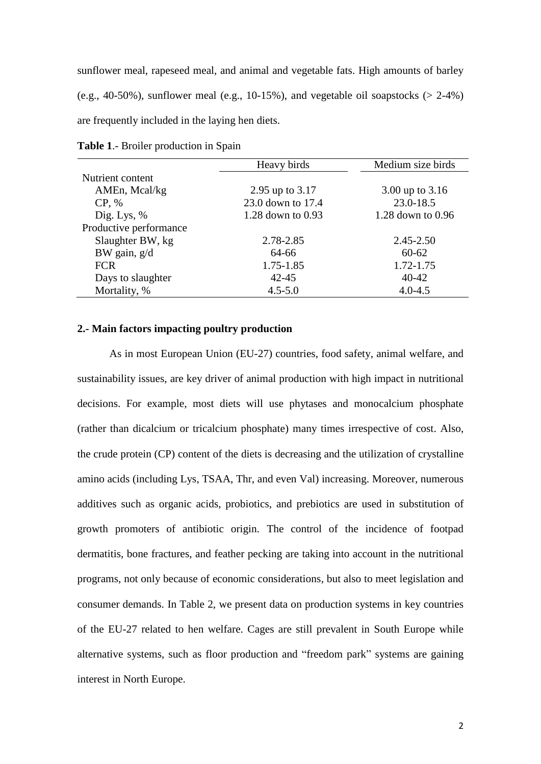sunflower meal, rapeseed meal, and animal and vegetable fats. High amounts of barley (e.g., 40-50%), sunflower meal (e.g., 10-15%), and vegetable oil soapstocks ( $> 2-4\%$ ) are frequently included in the laying hen diets.

|                        | Heavy birds           | Medium size birds |
|------------------------|-----------------------|-------------------|
| Nutrient content       |                       |                   |
| AMEn, Mcal/kg          | 2.95 up to 3.17       | 3.00 up to 3.16   |
| CP, %                  | 23.0 down to 17.4     | 23.0-18.5         |
| Dig. Lys, $%$          | $1.28$ down to $0.93$ | 1.28 down to 0.96 |
| Productive performance |                       |                   |
| Slaughter BW, kg       | 2.78-2.85             | $2.45 - 2.50$     |
| BW gain, g/d           | 64-66                 | $60 - 62$         |
| <b>FCR</b>             | 1.75-1.85             | 1.72-1.75         |
| Days to slaughter      | $42 - 45$             | $40 - 42$         |
| Mortality, %           | $4.5 - 5.0$           | $4.0 - 4.5$       |

**Table 1**.- Broiler production in Spain

### **2.- Main factors impacting poultry production**

As in most European Union (EU-27) countries, food safety, animal welfare, and sustainability issues, are key driver of animal production with high impact in nutritional decisions. For example, most diets will use phytases and monocalcium phosphate (rather than dicalcium or tricalcium phosphate) many times irrespective of cost. Also, the crude protein (CP) content of the diets is decreasing and the utilization of crystalline amino acids (including Lys, TSAA, Thr, and even Val) increasing. Moreover, numerous additives such as organic acids, probiotics, and prebiotics are used in substitution of growth promoters of antibiotic origin. The control of the incidence of footpad dermatitis, bone fractures, and feather pecking are taking into account in the nutritional programs, not only because of economic considerations, but also to meet legislation and consumer demands. In Table 2, we present data on production systems in key countries of the EU-27 related to hen welfare. Cages are still prevalent in South Europe while alternative systems, such as floor production and "freedom park" systems are gaining interest in North Europe.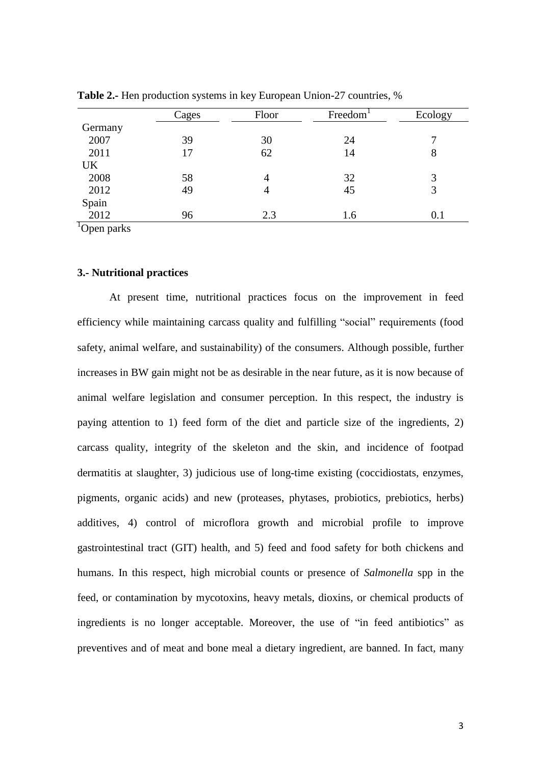|           | Cages | Floor          | Freedom | Ecology |
|-----------|-------|----------------|---------|---------|
| Germany   |       |                |         |         |
| 2007      | 39    | 30             | 24      |         |
| 2011      | 17    | 62             | 14      | 8       |
| <b>UK</b> |       |                |         |         |
| 2008      | 58    | $\overline{4}$ | 32      | 3       |
| 2012      | 49    | 4              | 45      | 3       |
| Spain     |       |                |         |         |
| 2012      | 96    | 2.3            | 1.6     | 0.1     |

**Table 2.-** Hen production systems in key European Union-27 countries, %

 ${}^{1}$ Open parks

# **3.- Nutritional practices**

At present time, nutritional practices focus on the improvement in feed efficiency while maintaining carcass quality and fulfilling "social" requirements (food safety, animal welfare, and sustainability) of the consumers. Although possible, further increases in BW gain might not be as desirable in the near future, as it is now because of animal welfare legislation and consumer perception. In this respect, the industry is paying attention to 1) feed form of the diet and particle size of the ingredients, 2) carcass quality, integrity of the skeleton and the skin, and incidence of footpad dermatitis at slaughter, 3) judicious use of long-time existing (coccidiostats, enzymes, pigments, organic acids) and new (proteases, phytases, probiotics, prebiotics, herbs) additives, 4) control of microflora growth and microbial profile to improve gastrointestinal tract (GIT) health, and 5) feed and food safety for both chickens and humans. In this respect, high microbial counts or presence of *Salmonella* spp in the feed, or contamination by mycotoxins, heavy metals, dioxins, or chemical products of ingredients is no longer acceptable. Moreover, the use of "in feed antibiotics" as preventives and of meat and bone meal a dietary ingredient, are banned. In fact, many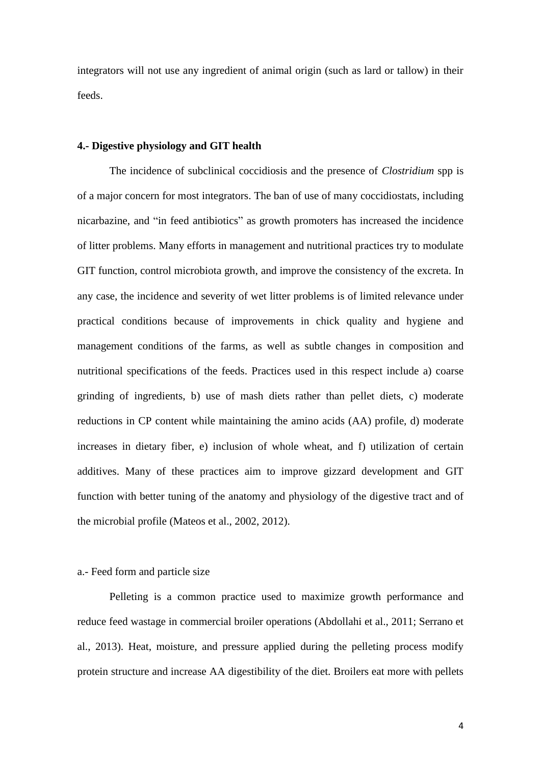integrators will not use any ingredient of animal origin (such as lard or tallow) in their feeds.

## **4.- Digestive physiology and GIT health**

The incidence of subclinical coccidiosis and the presence of *Clostridium* spp is of a major concern for most integrators. The ban of use of many coccidiostats, including nicarbazine, and "in feed antibiotics" as growth promoters has increased the incidence of litter problems. Many efforts in management and nutritional practices try to modulate GIT function, control microbiota growth, and improve the consistency of the excreta. In any case, the incidence and severity of wet litter problems is of limited relevance under practical conditions because of improvements in chick quality and hygiene and management conditions of the farms, as well as subtle changes in composition and nutritional specifications of the feeds. Practices used in this respect include a) coarse grinding of ingredients, b) use of mash diets rather than pellet diets, c) moderate reductions in CP content while maintaining the amino acids (AA) profile, d) moderate increases in dietary fiber, e) inclusion of whole wheat, and f) utilization of certain additives. Many of these practices aim to improve gizzard development and GIT function with better tuning of the anatomy and physiology of the digestive tract and of the microbial profile (Mateos et al., 2002, 2012).

## a.- Feed form and particle size

Pelleting is a common practice used to maximize growth performance and reduce feed wastage in commercial broiler operations (Abdollahi et al., 2011; Serrano et al., 2013). Heat, moisture, and pressure applied during the pelleting process modify protein structure and increase AA digestibility of the diet. Broilers eat more with pellets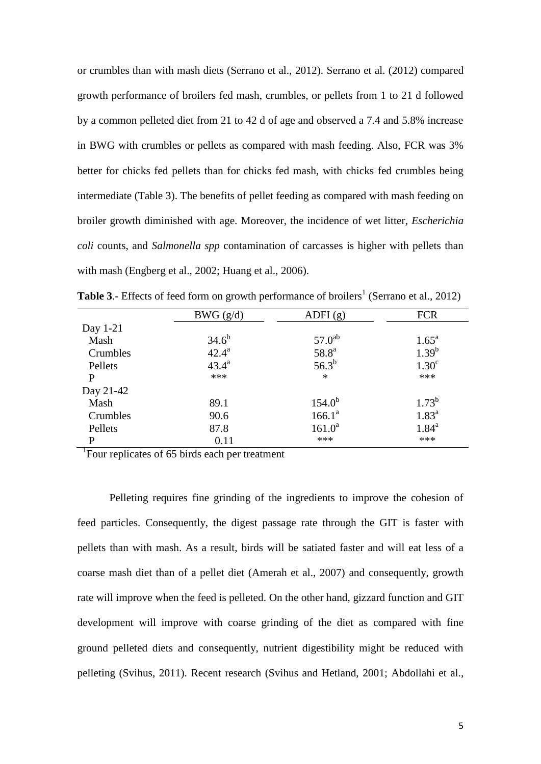or crumbles than with mash diets (Serrano et al., 2012). Serrano et al. (2012) compared growth performance of broilers fed mash, crumbles, or pellets from 1 to 21 d followed by a common pelleted diet from 21 to 42 d of age and observed a 7.4 and 5.8% increase in BWG with crumbles or pellets as compared with mash feeding. Also, FCR was 3% better for chicks fed pellets than for chicks fed mash, with chicks fed crumbles being intermediate (Table 3). The benefits of pellet feeding as compared with mash feeding on broiler growth diminished with age. Moreover, the incidence of wet litter, *Escherichia coli* counts, and *Salmonella spp* contamination of carcasses is higher with pellets than with mash (Engberg et al., 2002; Huang et al., 2006).

|           | BWG(g/d)       | ADFI(g)           | <b>FCR</b>        |
|-----------|----------------|-------------------|-------------------|
| Day 1-21  |                |                   |                   |
| Mash      | $34.6^{b}$     | $57.0^{ab}$       | $1.65^{\rm a}$    |
| Crumbles  | $42.4^a$       | 58.8 <sup>a</sup> | $1.39^{b}$        |
| Pellets   | $43.4^{\circ}$ | $56.3^{b}$        | 1.30 <sup>c</sup> |
| P         | ***            | $\ast$            | ***               |
| Day 21-42 |                |                   |                   |
| Mash      | 89.1           | $154.0^{b}$       | $1.73^{b}$        |
| Crumbles  | 90.6           | $166.1^a$         | $1.83^{\circ}$    |
| Pellets   | 87.8           | $161.0^a$         | $1.84^{\rm a}$    |
| P         | 0.11           | ***               | ***               |

**Table 3.**- Effects of feed form on growth performance of broilers<sup>1</sup> (Serrano et al., 2012)

<sup>1</sup>Four replicates of 65 birds each per treatment

Pelleting requires fine grinding of the ingredients to improve the cohesion of feed particles. Consequently, the digest passage rate through the GIT is faster with pellets than with mash. As a result, birds will be satiated faster and will eat less of a coarse mash diet than of a pellet diet (Amerah et al., 2007) and consequently, growth rate will improve when the feed is pelleted. On the other hand, gizzard function and GIT development will improve with coarse grinding of the diet as compared with fine ground pelleted diets and consequently, nutrient digestibility might be reduced with pelleting (Svihus, 2011). Recent research (Svihus and Hetland, 2001; Abdollahi et al.,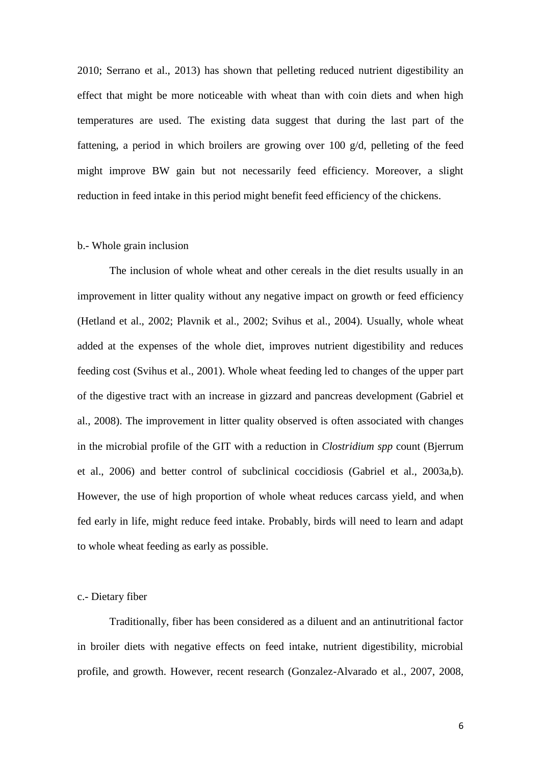2010; Serrano et al., 2013) has shown that pelleting reduced nutrient digestibility an effect that might be more noticeable with wheat than with coin diets and when high temperatures are used. The existing data suggest that during the last part of the fattening, a period in which broilers are growing over 100 g/d, pelleting of the feed might improve BW gain but not necessarily feed efficiency. Moreover, a slight reduction in feed intake in this period might benefit feed efficiency of the chickens.

#### b.- Whole grain inclusion

The inclusion of whole wheat and other cereals in the diet results usually in an improvement in litter quality without any negative impact on growth or feed efficiency (Hetland et al., 2002; Plavnik et al., 2002; Svihus et al., 2004). Usually, whole wheat added at the expenses of the whole diet, improves nutrient digestibility and reduces feeding cost (Svihus et al., 2001). Whole wheat feeding led to changes of the upper part of the digestive tract with an increase in gizzard and pancreas development (Gabriel et al., 2008). The improvement in litter quality observed is often associated with changes in the microbial profile of the GIT with a reduction in *Clostridium spp* count (Bjerrum et al., 2006) and better control of subclinical coccidiosis (Gabriel et al., 2003a,b). However, the use of high proportion of whole wheat reduces carcass yield, and when fed early in life, might reduce feed intake. Probably, birds will need to learn and adapt to whole wheat feeding as early as possible.

### c.- Dietary fiber

Traditionally, fiber has been considered as a diluent and an antinutritional factor in broiler diets with negative effects on feed intake, nutrient digestibility, microbial profile, and growth. However, recent research (Gonzalez-Alvarado et al., 2007, 2008,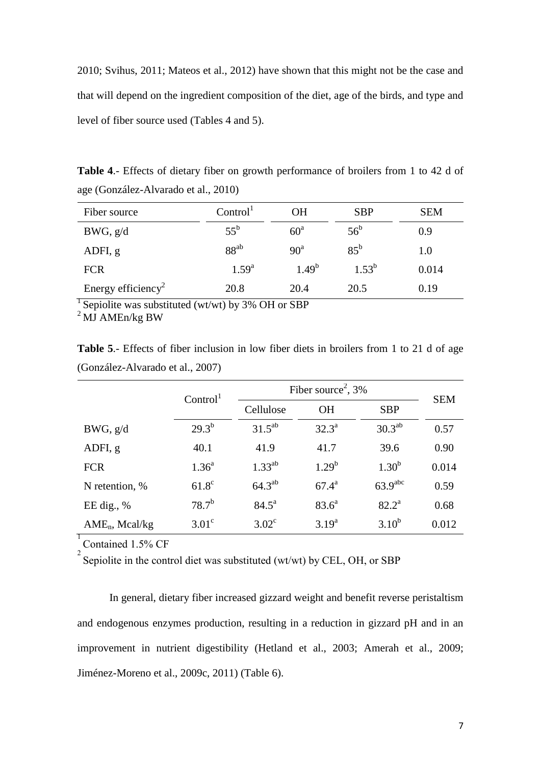2010; Svihus, 2011; Mateos et al., 2012) have shown that this might not be the case and that will depend on the ingredient composition of the diet, age of the birds, and type and level of fiber source used (Tables 4 and 5).

**Table 4**.- Effects of dietary fiber on growth performance of broilers from 1 to 42 d of age (González-Alvarado et al., 2010)

| Fiber source                   | Control <sup>1</sup> | OН              | <b>SBP</b>   | <b>SEM</b> |
|--------------------------------|----------------------|-----------------|--------------|------------|
| BWG, g/d                       | $55^{\rm b}$         | $60^{\circ}$    | $56^{\rm b}$ | 0.9        |
| ADFI, g                        | $88^{ab}$            | 90 <sup>a</sup> | $85^{\rm b}$ | 1.0        |
| <b>FCR</b>                     | $1.59^{a}$           | $1.49^{b}$      | $1.53^{b}$   | 0.014      |
| Energy efficiency <sup>2</sup> | 20.8                 | 20.4            | 20.5         | 0.19       |

<sup>1</sup> Sepiolite was substituted (wt/wt) by 3% OH or SBP

 $^{2}$ MJ AMEn/kg BW

**Table 5**.- Effects of fiber inclusion in low fiber diets in broilers from 1 to 21 d of age (González-Alvarado et al., 2007)

|                   | Control <sup>1</sup> | Fiber source <sup>2</sup> , $3\%$ | <b>SEM</b>     |                     |       |
|-------------------|----------------------|-----------------------------------|----------------|---------------------|-------|
|                   |                      | Cellulose                         | <b>OH</b>      | <b>SBP</b>          |       |
| BWG, g/d          | $29.3^{b}$           | $31.5^{ab}$                       | $32.3^{\circ}$ | $30.3^{ab}$         | 0.57  |
| ADFI, g           | 40.1                 | 41.9                              | 41.7           | 39.6                | 0.90  |
| <b>FCR</b>        | $1.36^{a}$           | $1.33^{ab}$                       | $1.29^{b}$     | $1.30^{b}$          | 0.014 |
| N retention, %    | $61.8^\circ$         | $64.3^{ab}$                       | $67.4^{\rm a}$ | 63.9 <sup>abc</sup> | 0.59  |
| EE dig., $%$      | $78.7^{b}$           | $84.5^{\rm a}$                    | $83.6^{\circ}$ | $82.2^{\rm a}$      | 0.68  |
| $AME_n$ , Mcal/kg | $3.01^{\circ}$       | $3.02^{\circ}$                    | $3.19^{a}$     | $3.10^{b}$          | 0.012 |

 $\frac{1}{2}$  Contained 1.5% CF

Sepiolite in the control diet was substituted (wt/wt) by CEL, OH, or SBP

In general, dietary fiber increased gizzard weight and benefit reverse peristaltism and endogenous enzymes production, resulting in a reduction in gizzard pH and in an improvement in nutrient digestibility (Hetland et al., 2003; Amerah et al., 2009; Jiménez-Moreno et al., 2009c, 2011) (Table 6).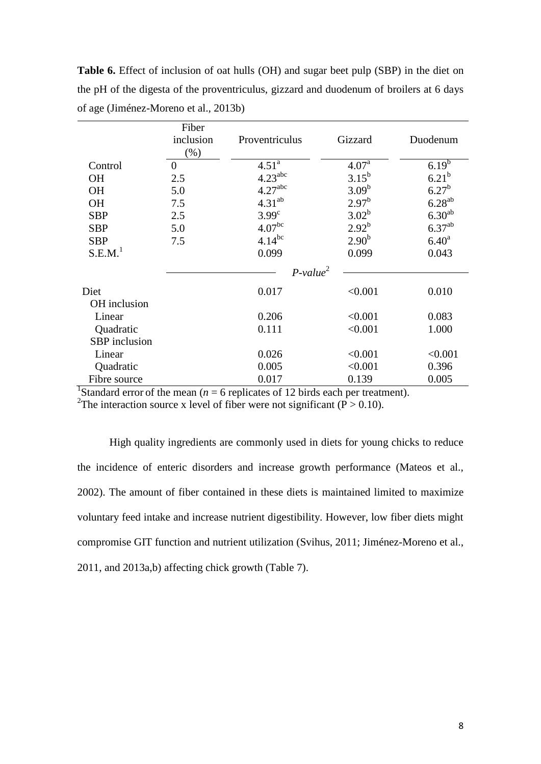**Table 6.** Effect of inclusion of oat hulls (OH) and sugar beet pulp (SBP) in the diet on the pH of the digesta of the proventriculus, gizzard and duodenum of broilers at 6 days of age (Jiménez-Moreno et al., 2013b)

|                         | Fiber<br>inclusion<br>$(\%)$ | Proventriculus      | Gizzard           | Duodenum          |
|-------------------------|------------------------------|---------------------|-------------------|-------------------|
| Control                 | $\overline{0}$               | $4.51^{\rm a}$      | 4.07 <sup>a</sup> | $6.19^{6}$        |
| <b>OH</b>               | 2.5                          | 4.23 <sup>abc</sup> | $3.15^{b}$        | 6.21 <sup>b</sup> |
| <b>OH</b>               | 5.0                          | 4.27 <sup>abc</sup> | $3.09^{b}$        | $6.27^{b}$        |
| <b>OH</b>               | 7.5                          | $4.31^{ab}$         | $2.97^{b}$        | $6.28^{ab}$       |
| <b>SBP</b>              | 2.5                          | 3.99 <sup>c</sup>   | $3.02^{b}$        | $6.30^{ab}$       |
| <b>SBP</b>              | 5.0                          | 4.07 <sup>bc</sup>  | $2.92^{b}$        | $6.37^{ab}$       |
| <b>SBP</b>              | 7.5                          | $4.14^{bc}$         | 2.90 <sup>b</sup> | 6.40 <sup>a</sup> |
| S.E.M. <sup>1</sup>     |                              | 0.099               | 0.099             | 0.043             |
|                         |                              | $P-value2$          |                   |                   |
| Diet                    |                              | 0.017               | < 0.001           | 0.010             |
| OH inclusion            |                              |                     |                   |                   |
| Linear                  |                              | 0.206               | < 0.001           | 0.083             |
| Quadratic               |                              | 0.111               | < 0.001           | 1.000             |
| SBP inclusion           |                              |                     |                   |                   |
| Linear                  |                              | 0.026               | < 0.001           | < 0.001           |
| Quadratic               |                              | 0.005               | < 0.001           | 0.396             |
| Fibre source<br>$1\sim$ |                              | 0.017               | 0.139             | 0.005             |

<sup>1</sup>Standard error of the mean ( $n = 6$  replicates of 12 birds each per treatment).

<sup>2</sup>The interaction source x level of fiber were not significant ( $\overline{P} > 0.10$ ).

High quality ingredients are commonly used in diets for young chicks to reduce the incidence of enteric disorders and increase growth performance (Mateos et al., 2002). The amount of fiber contained in these diets is maintained limited to maximize voluntary feed intake and increase nutrient digestibility. However, low fiber diets might compromise GIT function and nutrient utilization (Svihus, 2011; Jiménez-Moreno et al., 2011, and 2013a,b) affecting chick growth (Table 7).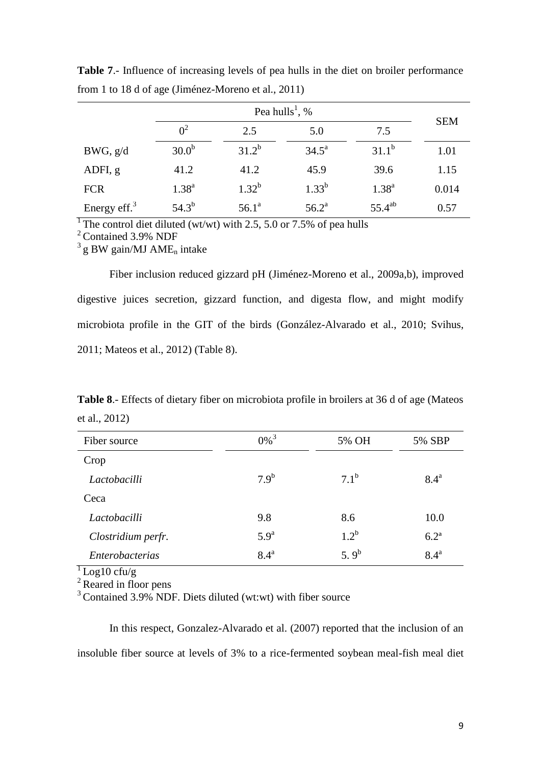|                 | Pea hulls <sup>1</sup> , % |            |                | <b>SEM</b>  |       |
|-----------------|----------------------------|------------|----------------|-------------|-------|
|                 | 0 <sup>2</sup>             | 2.5        | 5.0            | 7.5         |       |
| BWG, g/d        | 30.0 <sup>b</sup>          | $31.2^{b}$ | $34.5^{\circ}$ | $31.1^b$    | 1.01  |
| ADFI, g         | 41.2                       | 41.2       | 45.9           | 39.6        | 1.15  |
| <b>FCR</b>      | $1.38^{a}$                 | $1.32^{b}$ | $1.33^{b}$     | $1.38^{a}$  | 0.014 |
| Energy eff. $3$ | $54.3^{b}$                 | $56.1^a$   | $56.2^{\rm a}$ | $55.4^{ab}$ | 0.57  |

**Table 7**.- Influence of increasing levels of pea hulls in the diet on broiler performance from 1 to 18 d of age (Jiménez-Moreno et al., 2011)

<sup>1</sup>The control diet diluted (wt/wt) with 2.5, 5.0 or 7.5% of pea hulls

<sup>2</sup> Contained 3.9% NDF

 $3$ g BW gain/MJ AME<sub>n</sub> intake

Fiber inclusion reduced gizzard pH (Jiménez-Moreno et al., 2009a,b), improved digestive juices secretion, gizzard function, and digesta flow, and might modify microbiota profile in the GIT of the birds (González-Alvarado et al., 2010; Svihus, 2011; Mateos et al., 2012) (Table 8).

**Table 8**.- Effects of dietary fiber on microbiota profile in broilers at 36 d of age (Mateos et al., 2012)

| Fiber source       | $0\%$ <sup>3</sup> | 5% OH            | 5% SBP             |
|--------------------|--------------------|------------------|--------------------|
| Crop               |                    |                  |                    |
| Lactobacilli       | 7.9 <sup>b</sup>   | $7.1^{\rm b}$    | $8.4^{\mathrm{a}}$ |
| Ceca               |                    |                  |                    |
| Lactobacilli       | 9.8                | 8.6              | 10.0               |
| Clostridium perfr. | 5.9 <sup>a</sup>   | $1.2^{b}$        | 6.2 <sup>a</sup>   |
| Enterobacterias    | $8.4^{\mathrm{a}}$ | 5.9 <sup>b</sup> | $8.4^{\mathrm{a}}$ |

 $\frac{1}{\log 10}$  cfu/g

 $2$  Reared in floor pens

 $3^3$  Contained 3.9% NDF. Diets diluted (wt:wt) with fiber source

In this respect, Gonzalez-Alvarado et al. (2007) reported that the inclusion of an insoluble fiber source at levels of 3% to a rice-fermented soybean meal-fish meal diet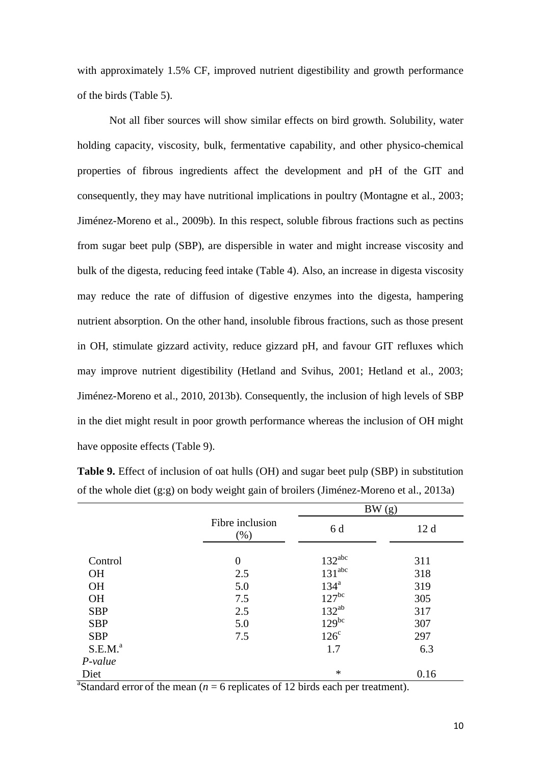with approximately 1.5% CF, improved nutrient digestibility and growth performance of the birds (Table 5).

Not all fiber sources will show similar effects on bird growth. Solubility, water holding capacity, viscosity, bulk, fermentative capability, and other physico-chemical properties of fibrous ingredients affect the development and pH of the GIT and consequently, they may have nutritional implications in poultry (Montagne et al., 2003; Jiménez-Moreno et al., 2009b). In this respect, soluble fibrous fractions such as pectins from sugar beet pulp (SBP), are dispersible in water and might increase viscosity and bulk of the digesta, reducing feed intake (Table 4). Also, an increase in digesta viscosity may reduce the rate of diffusion of digestive enzymes into the digesta, hampering nutrient absorption. On the other hand, insoluble fibrous fractions, such as those present in OH, stimulate gizzard activity, reduce gizzard pH, and favour GIT refluxes which may improve nutrient digestibility (Hetland and Svihus, 2001; Hetland et al., 2003; Jiménez-Moreno et al., 2010, 2013b). Consequently, the inclusion of high levels of SBP in the diet might result in poor growth performance whereas the inclusion of OH might have opposite effects (Table 9).

|                     |                            | BW(g)                         |      |
|---------------------|----------------------------|-------------------------------|------|
|                     | Fibre inclusion<br>$(\% )$ | 6 d                           | 12d  |
| Control             | $\overline{0}$             | $\frac{132^{abc}}{131^{abc}}$ | 311  |
| <b>OH</b>           | 2.5                        |                               | 318  |
| <b>OH</b>           | 5.0                        | 134 <sup>a</sup>              | 319  |
| <b>OH</b>           | 7.5                        | $127^{bc}$                    | 305  |
| <b>SBP</b>          | 2.5                        | $132^{ab}$                    | 317  |
| <b>SBP</b>          | 5.0                        | $129^{bc}$                    | 307  |
| <b>SBP</b>          | 7.5                        | $126^{\circ}$                 | 297  |
| S.E.M. <sup>a</sup> |                            | 1.7                           | 6.3  |
| $P-value$           |                            |                               |      |
| Diet                |                            | $\ast$                        | 0.16 |

**Table 9.** Effect of inclusion of oat hulls (OH) and sugar beet pulp (SBP) in substitution of the whole diet (g:g) on body weight gain of broilers (Jiménez-Moreno et al., 2013a)

<sup>a</sup>Standard error of the mean ( $n = 6$  replicates of 12 birds each per treatment).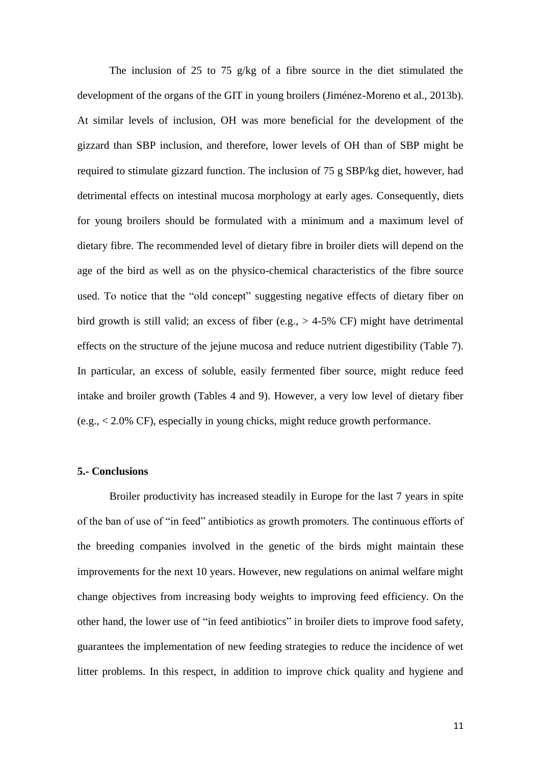The inclusion of 25 to 75 g/kg of a fibre source in the diet stimulated the development of the organs of the GIT in young broilers (Jiménez-Moreno et al., 2013b). At similar levels of inclusion, OH was more beneficial for the development of the gizzard than SBP inclusion, and therefore, lower levels of OH than of SBP might be required to stimulate gizzard function. The inclusion of 75 g SBP/kg diet, however, had detrimental effects on intestinal mucosa morphology at early ages. Consequently, diets for young broilers should be formulated with a minimum and a maximum level of dietary fibre. The recommended level of dietary fibre in broiler diets will depend on the age of the bird as well as on the physico-chemical characteristics of the fibre source used. To notice that the "old concept" suggesting negative effects of dietary fiber on bird growth is still valid; an excess of fiber (e.g.,  $> 4-5\%$  CF) might have detrimental effects on the structure of the jejune mucosa and reduce nutrient digestibility (Table 7). In particular, an excess of soluble, easily fermented fiber source, might reduce feed intake and broiler growth (Tables 4 and 9). However, a very low level of dietary fiber (e.g., < 2.0% CF), especially in young chicks, might reduce growth performance.

## **5.- Conclusions**

Broiler productivity has increased steadily in Europe for the last 7 years in spite of the ban of use of "in feed" antibiotics as growth promoters. The continuous efforts of the breeding companies involved in the genetic of the birds might maintain these improvements for the next 10 years. However, new regulations on animal welfare might change objectives from increasing body weights to improving feed efficiency. On the other hand, the lower use of "in feed antibiotics" in broiler diets to improve food safety, guarantees the implementation of new feeding strategies to reduce the incidence of wet litter problems. In this respect, in addition to improve chick quality and hygiene and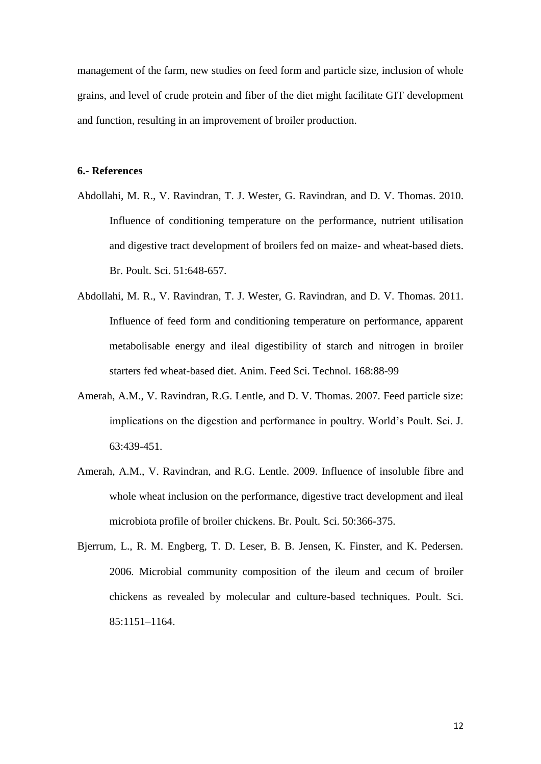management of the farm, new studies on feed form and particle size, inclusion of whole grains, and level of crude protein and fiber of the diet might facilitate GIT development and function, resulting in an improvement of broiler production.

#### **6.- References**

- Abdollahi, M. R., V. Ravindran, T. J. Wester, G. Ravindran, and D. V. Thomas. 2010. Influence of conditioning temperature on the performance, nutrient utilisation and digestive tract development of broilers fed on maize- and wheat-based diets. Br. Poult. Sci. 51:648-657.
- Abdollahi, M. R., V. Ravindran, T. J. Wester, G. Ravindran, and D. V. Thomas. 2011. Influence of feed form and conditioning temperature on performance, apparent metabolisable energy and ileal digestibility of starch and nitrogen in broiler starters fed wheat-based diet. Anim. Feed Sci. Technol. 168:88-99
- Amerah, A.M., V. Ravindran, R.G. Lentle, and D. V. Thomas. 2007. Feed particle size: implications on the digestion and performance in poultry. World's Poult. Sci. J. 63:439-451.
- Amerah, A.M., V. Ravindran, and R.G. Lentle. 2009. Influence of insoluble fibre and whole wheat inclusion on the performance, digestive tract development and ileal microbiota profile of broiler chickens. Br. Poult. Sci. 50:366-375.
- Bjerrum, L., R. M. Engberg, T. D. Leser, B. B. Jensen, K. Finster, and K. Pedersen. 2006. Microbial community composition of the ileum and cecum of broiler chickens as revealed by molecular and culture-based techniques. Poult. Sci. 85:1151–1164.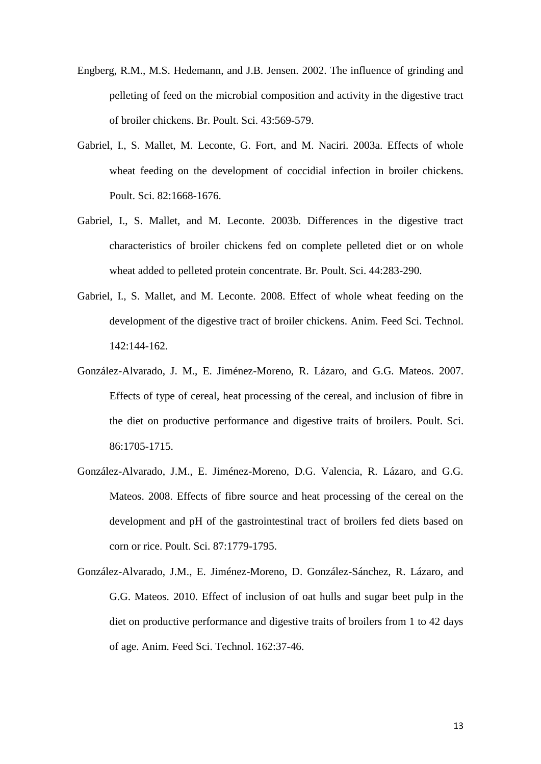- Engberg, R.M., M.S. Hedemann, and J.B. Jensen. 2002. The influence of grinding and pelleting of feed on the microbial composition and activity in the digestive tract of broiler chickens. Br. Poult. Sci. 43:569-579.
- Gabriel, I., S. Mallet, M. Leconte, G. Fort, and M. Naciri. 2003a. Effects of whole wheat feeding on the development of coccidial infection in broiler chickens. Poult. Sci. 82:1668-1676.
- Gabriel, I., S. Mallet, and M. Leconte. 2003b. Differences in the digestive tract characteristics of broiler chickens fed on complete pelleted diet or on whole wheat added to pelleted protein concentrate. Br. Poult. Sci. 44:283-290.
- Gabriel, I., S. Mallet, and M. Leconte. 2008. Effect of whole wheat feeding on the development of the digestive tract of broiler chickens. Anim. Feed Sci. Technol. 142:144-162.
- González-Alvarado, J. M., E. Jiménez-Moreno, R. Lázaro, and G.G. Mateos. 2007. Effects of type of cereal, heat processing of the cereal, and inclusion of fibre in the diet on productive performance and digestive traits of broilers. Poult. Sci. 86:1705-1715.
- González-Alvarado, J.M., E. Jiménez-Moreno, D.G. Valencia, R. Lázaro, and G.G. Mateos. 2008. Effects of fibre source and heat processing of the cereal on the development and pH of the gastrointestinal tract of broilers fed diets based on corn or rice. Poult. Sci. 87:1779-1795.
- González-Alvarado, J.M., E. Jiménez-Moreno, D. González-Sánchez, R. Lázaro, and G.G. Mateos. 2010. [Effect of inclusion of oat hulls and sugar beet pulp in the](http://www.sciencedirect.com/science?_ob=ArticleURL&_udi=B6T42-511H38B-2&_user=885385&_coverDate=09%2F16%2F2010&_alid=1529796379&_rdoc=1&_fmt=high&_orig=search&_origin=search&_zone=rslt_list_item&_cdi=4962&_sort=r&_st=13&_docanchor=&view=c&_ct=136&_acct=C000047350&_version=1&_urlVersion=0&_userid=885385&md5=dc832900a3e99ec4c6934ec0ee226e67&searchtype=a)  [diet on productive performance and digestive traits of broilers from 1 to 42 days](http://www.sciencedirect.com/science?_ob=ArticleURL&_udi=B6T42-511H38B-2&_user=885385&_coverDate=09%2F16%2F2010&_alid=1529796379&_rdoc=1&_fmt=high&_orig=search&_origin=search&_zone=rslt_list_item&_cdi=4962&_sort=r&_st=13&_docanchor=&view=c&_ct=136&_acct=C000047350&_version=1&_urlVersion=0&_userid=885385&md5=dc832900a3e99ec4c6934ec0ee226e67&searchtype=a)  [of age.](http://www.sciencedirect.com/science?_ob=ArticleURL&_udi=B6T42-511H38B-2&_user=885385&_coverDate=09%2F16%2F2010&_alid=1529796379&_rdoc=1&_fmt=high&_orig=search&_origin=search&_zone=rslt_list_item&_cdi=4962&_sort=r&_st=13&_docanchor=&view=c&_ct=136&_acct=C000047350&_version=1&_urlVersion=0&_userid=885385&md5=dc832900a3e99ec4c6934ec0ee226e67&searchtype=a) Anim. Feed Sci. Technol. 162:37-46.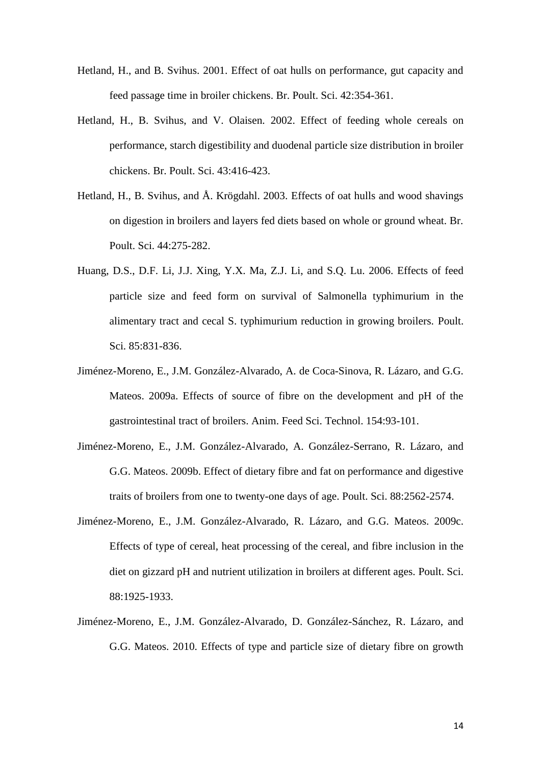- Hetland, H., and B. Svihus. 2001. Effect of oat hulls on performance, gut capacity and feed passage time in broiler chickens. Br. Poult. Sci. 42:354-361.
- Hetland, H., B. Svihus, and V. Olaisen. 2002. Effect of feeding whole cereals on performance, starch digestibility and duodenal particle size distribution in broiler chickens. Br. Poult. Sci. 43:416-423.
- Hetland, H., B. Svihus, and Å. Krögdahl. 2003. Effects of oat hulls and wood shavings on digestion in broilers and layers fed diets based on whole or ground wheat. Br. Poult. Sci. 44:275-282.
- Huang, D.S., D.F. Li, J.J. Xing, Y.X. Ma, Z.J. Li, and S.Q. Lu. 2006. Effects of feed particle size and feed form on survival of Salmonella typhimurium in the alimentary tract and cecal S. typhimurium reduction in growing broilers. Poult. Sci. 85:831-836.
- Jiménez-Moreno, E., J.M. González-Alvarado, A. de Coca-Sinova, R. Lázaro, and G.G. Mateos. 2009a. Effects of source of fibre on the development and pH of the gastrointestinal tract of broilers. Anim. Feed Sci. Technol. 154:93-101.
- Jiménez-Moreno, E., J.M. González-Alvarado, A. González-Serrano, R. Lázaro, and G.G. Mateos. 2009b. Effect of dietary fibre and fat on performance and digestive traits of broilers from one to twenty-one days of age. Poult. Sci. 88:2562-2574.
- Jiménez-Moreno, E., J.M. González-Alvarado, R. Lázaro, and G.G. Mateos. 2009c. Effects of type of cereal, heat processing of the cereal, and fibre inclusion in the diet on gizzard pH and nutrient utilization in broilers at different ages. Poult. Sci. 88:1925-1933.
- Jiménez-Moreno, E., J.M. González-Alvarado, D. González-Sánchez, R. Lázaro, and G.G. Mateos. 2010. Effects of type and particle size of dietary fibre on growth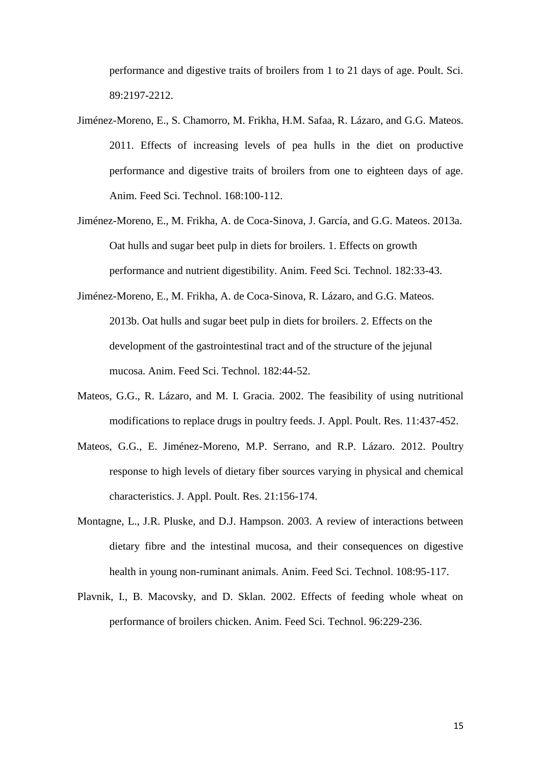performance and digestive traits of broilers from 1 to 21 days of age. Poult. Sci. 89:2197-2212.

- Jiménez-Moreno, E., S. Chamorro, M. Frikha, H.M. Safaa, R. Lázaro, and G.G. Mateos. 2011. Effects of increasing levels of pea hulls in the diet on productive performance and digestive traits of broilers from one to eighteen days of age. Anim. Feed Sci. Technol. 168:100-112.
- Jiménez-Moreno, E., M. Frikha, A. de Coca-Sinova, J. García, and G.G. Mateos. 2013a. Oat hulls and sugar beet pulp in diets for broilers. 1. Effects on growth performance and nutrient digestibility. Anim. Feed Sci. Technol. 182:33-43.
- Jiménez-Moreno, E., M. Frikha, A. de Coca-Sinova, R. Lázaro, and G.G. Mateos. 2013b. Oat hulls and sugar beet pulp in diets for broilers. 2. Effects on the development of the gastrointestinal tract and of the structure of the jejunal mucosa. Anim. Feed Sci. Technol. 182:44-52.
- Mateos, G.G., R. Lázaro, and M. I. Gracia. 2002. The feasibility of using nutritional modifications to replace drugs in poultry feeds. J. Appl. Poult. Res. 11:437-452.
- Mateos, G.G., E. Jiménez-Moreno, M.P. Serrano, and R.P. Lázaro. 2012. Poultry response to high levels of dietary fiber sources varying in physical and chemical characteristics. J. Appl. Poult. Res. 21:156-174.
- Montagne, L., J.R. Pluske, and D.J. Hampson. 2003. A review of interactions between dietary fibre and the intestinal mucosa, and their consequences on digestive health in young non-ruminant animals. Anim. Feed Sci. Technol. 108:95-117.
- Plavnik, I., B. Macovsky, and D. Sklan. 2002. Effects of feeding whole wheat on performance of broilers chicken. Anim. Feed Sci. Technol. 96:229-236.